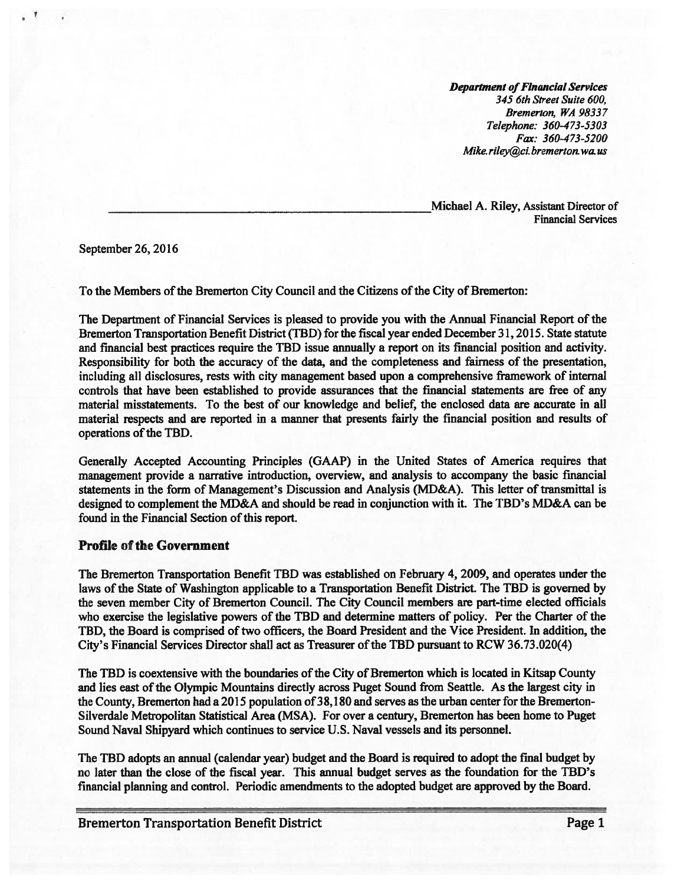**Department of Financial Services** 345 6th Street Suite 600, Bremerton, WA 98337 Telephone: 360-473-5303 Fax: 360-473-5200 Mike.riley@ci.bremerton.wa.us

Michael A. Riley, Assistant Director of **Financial Services** 

September 26, 2016

To the Members of the Bremerton City Council and the Citizens of the City of Bremerton:

The Department of Financial Services is pleased to provide you with the Annual Financial Report of the Bremerton Transportation Benefit District (TBD) for the fiscal year ended December 31, 2015. State statute and financial best practices require the TBD issue annually a report on its financial position and activity. Responsibility for both the accuracy of the data, and the completeness and fairness of the presentation, including all disclosures, rests with city management based upon a comprehensive framework of internal controls that have been established to provide assurances that the financial statements are free of any material misstatements. To the best of our knowledge and belief, the enclosed data are accurate in all material respects and are reported in a manner that presents fairly the financial position and results of operations of the TBD.

Generally Accepted Accounting Principles (GAAP) in the United States of America requires that management provide a narrative introduction, overview, and analysis to accompany the basic financial statements in the form of Management's Discussion and Analysis (MD&A). This letter of transmittal is designed to complement the MD&A and should be read in conjunction with it. The TBD's MD&A can be found in the Financial Section of this report.

# **Profile of the Government**

The Bremerton Transportation Benefit TBD was established on February 4, 2009, and operates under the laws of the State of Washington applicable to a Transportation Benefit District. The TBD is governed by the seven member City of Bremerton Council. The City Council members are part-time elected officials who exercise the legislative powers of the TBD and determine matters of policy. Per the Charter of the TBD, the Board is comprised of two officers, the Board President and the Vice President. In addition, the City's Financial Services Director shall act as Treasurer of the TBD pursuant to RCW 36.73.020(4)

The TBD is coextensive with the boundaries of the City of Bremerton which is located in Kitsap County and lies east of the Olympic Mountains directly across Puget Sound from Seattle. As the largest city in the County, Bremerton had a 2015 population of 38,180 and serves as the urban center for the Bremerton-Silverdale Metropolitan Statistical Area (MSA). For over a century, Bremerton has been home to Puget Sound Naval Shipyard which continues to service U.S. Naval vessels and its personnel.

The TBD adopts an annual (calendar year) budget and the Board is required to adopt the final budget by no later than the close of the fiscal year. This annual budget serves as the foundation for the TBD's financial planning and control. Periodic amendments to the adopted budget are approved by the Board.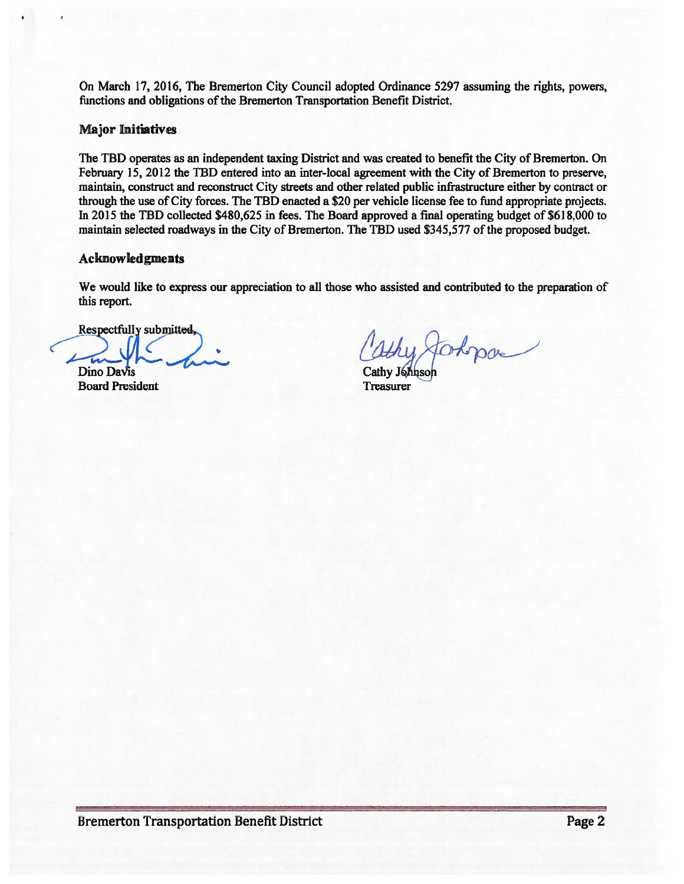On March 17, 2016, The Bremerton City Council adopted Ordinance 5297 assuming the rights, powers, functions and obligations of the Bremerton Transportation Benefit District.

# **Major Initiatives**

The TBD operates as an independent taxing District and was created to benefit the City of Bremerton. On February 15, 2012 the TBD entered into an inter-local agreement with the City of Bremerton to preserve, maintain, construct and reconstruct City streets and other related public infrastructure either by contract or through the use of City forces. The TBD enacted a \$20 per vehicle license fee to fund appropriate projects. In 2015 the TBD collected \$480,625 in fees. The Board approved a final operating budget of \$618,000 to maintain selected roadways in the City of Bremerton. The TBD used \$345,577 of the proposed budget.

# **Acknowledgments**

We would like to express our appreciation to all those who assisted and contributed to the preparation of this report.

**Respectfully submitted** 

Dino Davis **Board President** 

tokpar

Cathy Johnson **Treasurer**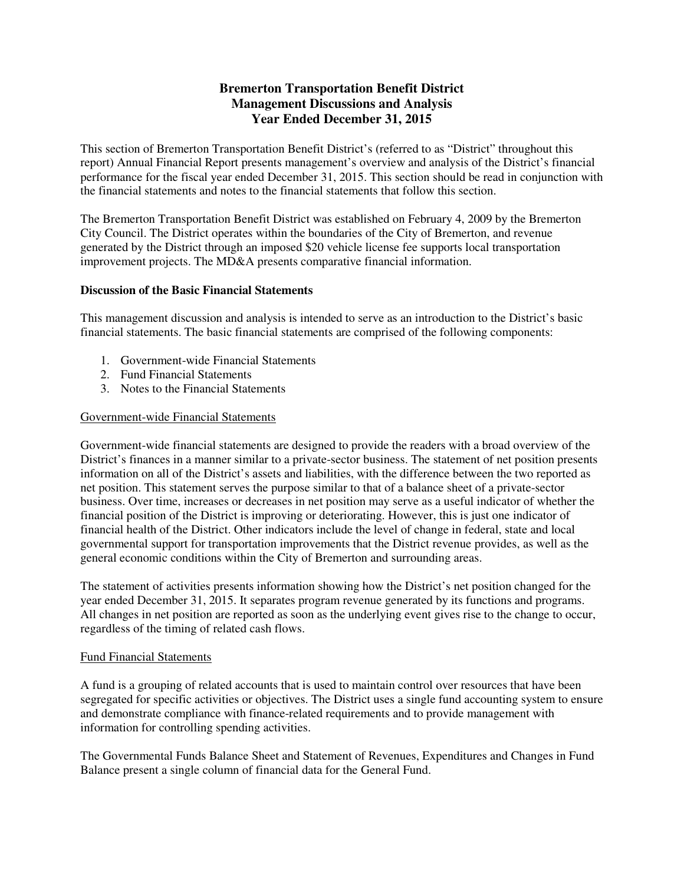# **Bremerton Transportation Benefit District Management Discussions and Analysis Year Ended December 31, 2015**

This section of Bremerton Transportation Benefit District's (referred to as "District" throughout this report) Annual Financial Report presents management's overview and analysis of the District's financial performance for the fiscal year ended December 31, 2015. This section should be read in conjunction with the financial statements and notes to the financial statements that follow this section.

The Bremerton Transportation Benefit District was established on February 4, 2009 by the Bremerton City Council. The District operates within the boundaries of the City of Bremerton, and revenue generated by the District through an imposed \$20 vehicle license fee supports local transportation improvement projects. The MD&A presents comparative financial information.

# **Discussion of the Basic Financial Statements**

This management discussion and analysis is intended to serve as an introduction to the District's basic financial statements. The basic financial statements are comprised of the following components:

- 1. Government-wide Financial Statements
- 2. Fund Financial Statements
- 3. Notes to the Financial Statements

# Government-wide Financial Statements

Government-wide financial statements are designed to provide the readers with a broad overview of the District's finances in a manner similar to a private-sector business. The statement of net position presents information on all of the District's assets and liabilities, with the difference between the two reported as net position. This statement serves the purpose similar to that of a balance sheet of a private-sector business. Over time, increases or decreases in net position may serve as a useful indicator of whether the financial position of the District is improving or deteriorating. However, this is just one indicator of financial health of the District. Other indicators include the level of change in federal, state and local governmental support for transportation improvements that the District revenue provides, as well as the general economic conditions within the City of Bremerton and surrounding areas.

The statement of activities presents information showing how the District's net position changed for the year ended December 31, 2015. It separates program revenue generated by its functions and programs. All changes in net position are reported as soon as the underlying event gives rise to the change to occur, regardless of the timing of related cash flows.

#### Fund Financial Statements

A fund is a grouping of related accounts that is used to maintain control over resources that have been segregated for specific activities or objectives. The District uses a single fund accounting system to ensure and demonstrate compliance with finance-related requirements and to provide management with information for controlling spending activities.

The Governmental Funds Balance Sheet and Statement of Revenues, Expenditures and Changes in Fund Balance present a single column of financial data for the General Fund.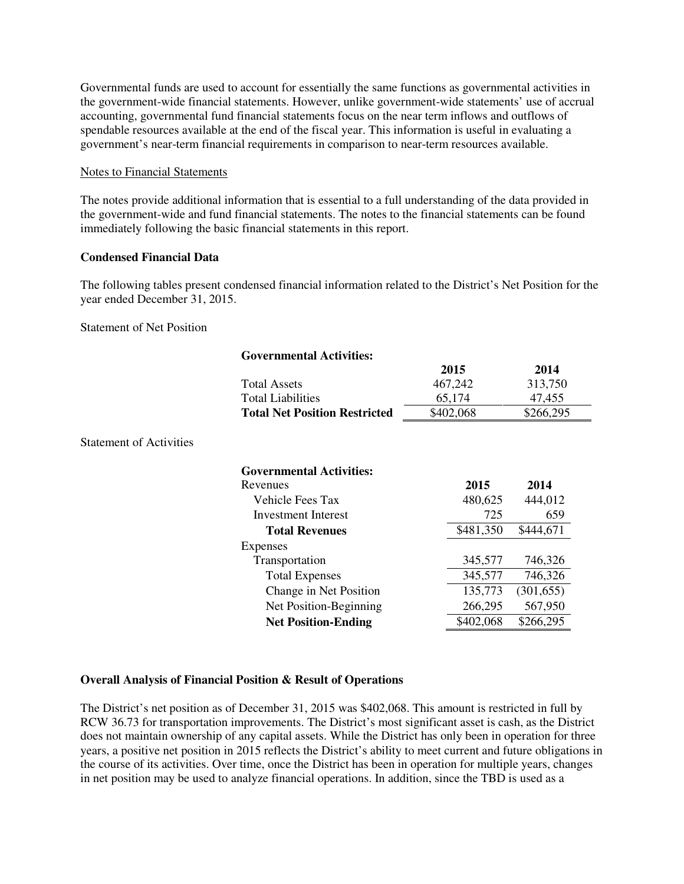Governmental funds are used to account for essentially the same functions as governmental activities in the government-wide financial statements. However, unlike government-wide statements' use of accrual accounting, governmental fund financial statements focus on the near term inflows and outflows of spendable resources available at the end of the fiscal year. This information is useful in evaluating a government's near-term financial requirements in comparison to near-term resources available.

### Notes to Financial Statements

The notes provide additional information that is essential to a full understanding of the data provided in the government-wide and fund financial statements. The notes to the financial statements can be found immediately following the basic financial statements in this report.

### **Condensed Financial Data**

The following tables present condensed financial information related to the District's Net Position for the year ended December 31, 2015.

Statement of Net Position

| <b>Governmental Activities:</b>      |           |            |  |
|--------------------------------------|-----------|------------|--|
|                                      | 2015      | 2014       |  |
| <b>Total Assets</b>                  | 467,242   | 313,750    |  |
| <b>Total Liabilities</b>             | 65,174    | 47,455     |  |
| <b>Total Net Position Restricted</b> | \$402,068 | \$266,295  |  |
| <b>Statement of Activities</b>       |           |            |  |
| <b>Governmental Activities:</b>      |           |            |  |
| Revenues                             | 2015      | 2014       |  |
| Vehicle Fees Tax                     | 480,625   | 444,012    |  |
| Investment Interest                  | 725       | 659        |  |
| <b>Total Revenues</b>                | \$481,350 | \$444,671  |  |
| Expenses                             |           |            |  |
| Transportation                       | 345,577   | 746,326    |  |
| <b>Total Expenses</b>                | 345,577   | 746,326    |  |
| Change in Net Position               | 135,773   | (301, 655) |  |
| Net Position-Beginning               | 266,295   | 567,950    |  |
| <b>Net Position-Ending</b>           | \$402,068 | \$266,295  |  |

# **Overall Analysis of Financial Position & Result of Operations**

The District's net position as of December 31, 2015 was \$402,068. This amount is restricted in full by RCW 36.73 for transportation improvements. The District's most significant asset is cash, as the District does not maintain ownership of any capital assets. While the District has only been in operation for three years, a positive net position in 2015 reflects the District's ability to meet current and future obligations in the course of its activities. Over time, once the District has been in operation for multiple years, changes in net position may be used to analyze financial operations. In addition, since the TBD is used as a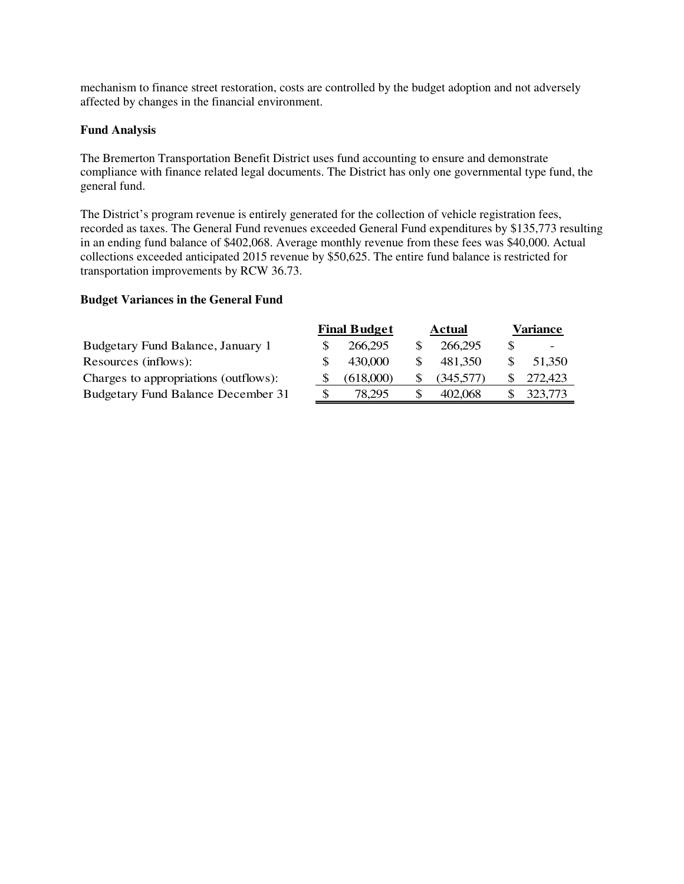mechanism to finance street restoration, costs are controlled by the budget adoption and not adversely affected by changes in the financial environment.

### **Fund Analysis**

The Bremerton Transportation Benefit District uses fund accounting to ensure and demonstrate compliance with finance related legal documents. The District has only one governmental type fund, the general fund.

The District's program revenue is entirely generated for the collection of vehicle registration fees, recorded as taxes. The General Fund revenues exceeded General Fund expenditures by \$135,773 resulting in an ending fund balance of \$402,068. Average monthly revenue from these fees was \$40,000. Actual collections exceeded anticipated 2015 revenue by \$50,625. The entire fund balance is restricted for transportation improvements by RCW 36.73.

### **Budget Variances in the General Fund**

|                                           | <b>Final Budget</b> |           | Actual    |  | <b>Variance</b> |  |
|-------------------------------------------|---------------------|-----------|-----------|--|-----------------|--|
| Budgetary Fund Balance, January 1         |                     | 266,295   | 266,295   |  | -               |  |
| Resources (inflows):                      |                     | 430,000   | 481.350   |  | 51.350          |  |
| Charges to appropriations (outflows):     |                     | (618,000) | (345.577) |  | 272,423         |  |
| <b>Budgetary Fund Balance December 31</b> |                     | 78,295    | 402,068   |  | 323,773         |  |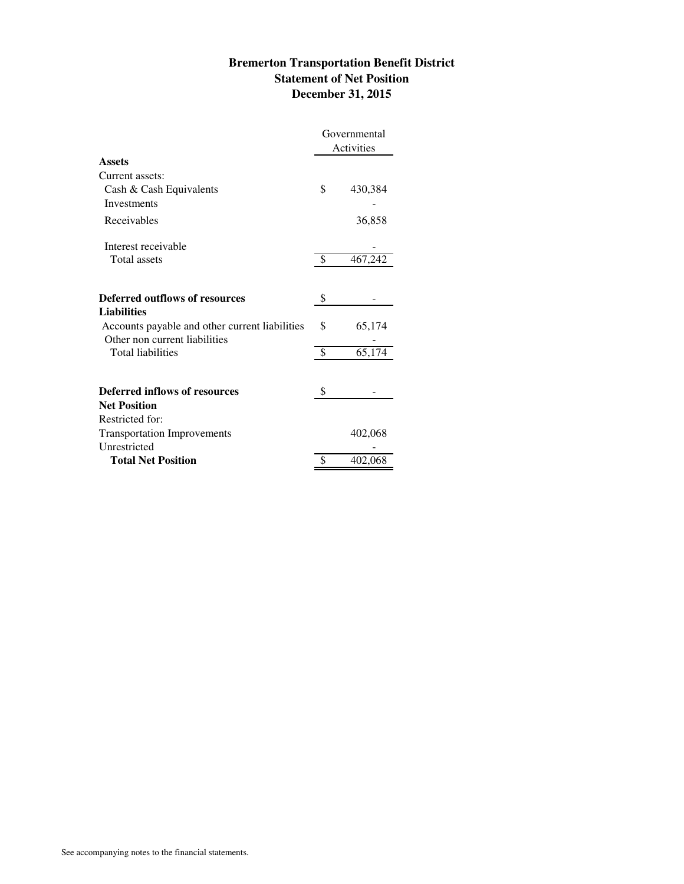# **Bremerton Transportation Benefit District Statement of Net Position December 31, 2015**

|                                                                                 | Governmental<br>Activities |         |  |
|---------------------------------------------------------------------------------|----------------------------|---------|--|
| <b>Assets</b>                                                                   |                            |         |  |
| Current assets:                                                                 |                            |         |  |
| Cash & Cash Equivalents                                                         | \$                         | 430,384 |  |
| Investments                                                                     |                            |         |  |
| Receivables                                                                     |                            | 36,858  |  |
| Interest receivable                                                             |                            |         |  |
| Total assets                                                                    | \$                         | 467,242 |  |
| Deferred outflows of resources<br><b>Liabilities</b>                            | \$                         |         |  |
| Accounts payable and other current liabilities<br>Other non current liabilities | \$                         | 65,174  |  |
| <b>Total liabilities</b>                                                        | \$                         | 65,174  |  |
| Deferred inflows of resources<br><b>Net Position</b>                            | \$                         |         |  |
|                                                                                 |                            |         |  |
| Restricted for:                                                                 |                            |         |  |
| <b>Transportation Improvements</b>                                              |                            | 402,068 |  |
| Unrestricted                                                                    |                            |         |  |
| <b>Total Net Position</b>                                                       | \$                         | 402,068 |  |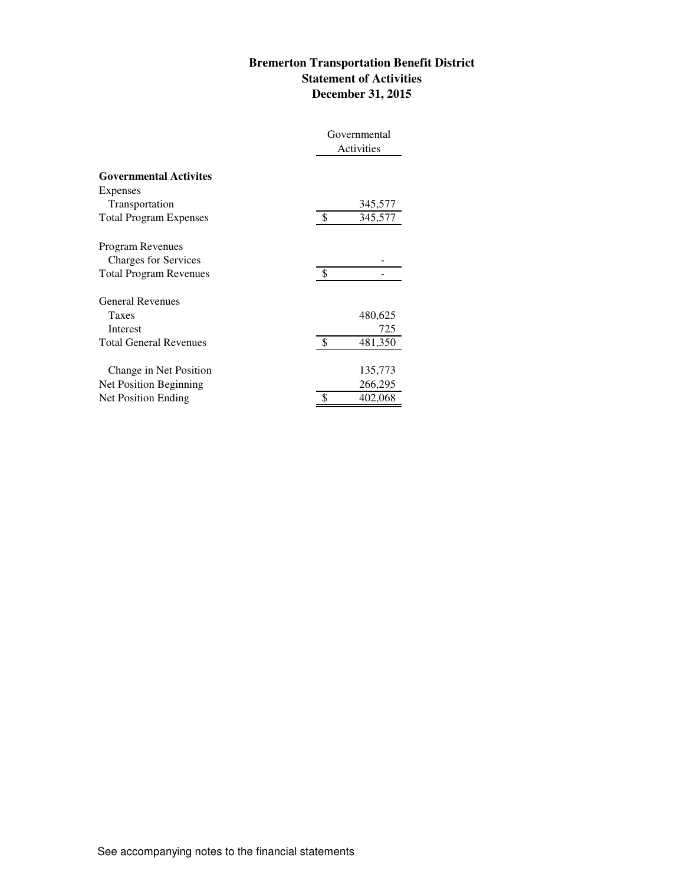# **Bremerton Transportation Benefit District Statement of Activities December 31, 2015**

|                               |    | Governmental<br>Activities |  |
|-------------------------------|----|----------------------------|--|
| <b>Governmental Activites</b> |    |                            |  |
| Expenses                      |    |                            |  |
| Transportation                |    | 345,577                    |  |
| <b>Total Program Expenses</b> | -S | 345,577                    |  |
| <b>Program Revenues</b>       |    |                            |  |
| <b>Charges for Services</b>   |    |                            |  |
| <b>Total Program Revenues</b> | \$ |                            |  |
| <b>General Revenues</b>       |    |                            |  |
| Taxes                         |    | 480,625                    |  |
| Interest                      |    | 725                        |  |
| <b>Total General Revenues</b> | \$ | 481,350                    |  |
| Change in Net Position        |    | 135,773                    |  |
| Net Position Beginning        |    | 266,295                    |  |
| <b>Net Position Ending</b>    | S  | 402,068                    |  |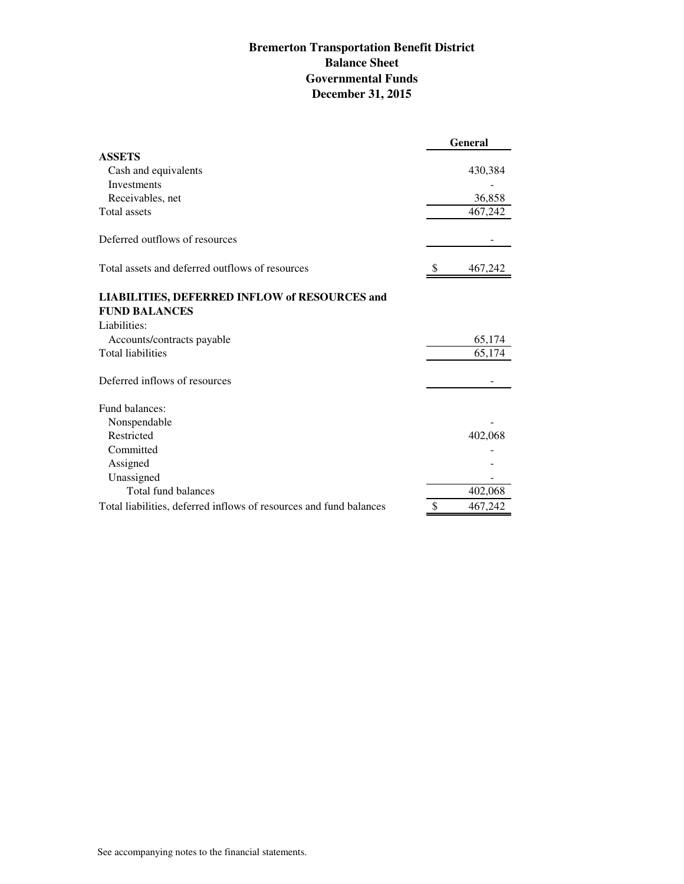# **Bremerton Transportation Benefit District Balance Sheet Governmental Funds December 31, 2015**

|                                                                    | <b>General</b> |
|--------------------------------------------------------------------|----------------|
| <b>ASSETS</b>                                                      |                |
| Cash and equivalents                                               | 430,384        |
| Investments                                                        |                |
| Receivables, net                                                   | 36,858         |
| <b>Total assets</b>                                                | 467,242        |
| Deferred outflows of resources                                     |                |
| Total assets and deferred outflows of resources                    | 467,242        |
| <b>LIABILITIES, DEFERRED INFLOW of RESOURCES and</b>               |                |
| <b>FUND BALANCES</b>                                               |                |
| Liabilities:                                                       |                |
| Accounts/contracts payable                                         | 65,174         |
| <b>Total liabilities</b>                                           | 65,174         |
| Deferred inflows of resources                                      |                |
| Fund balances:                                                     |                |
| Nonspendable                                                       |                |
| Restricted                                                         | 402,068        |
| Committed                                                          |                |
| Assigned                                                           |                |
| Unassigned                                                         |                |
| Total fund balances                                                | 402,068        |
| Total liabilities, deferred inflows of resources and fund balances | \$<br>467,242  |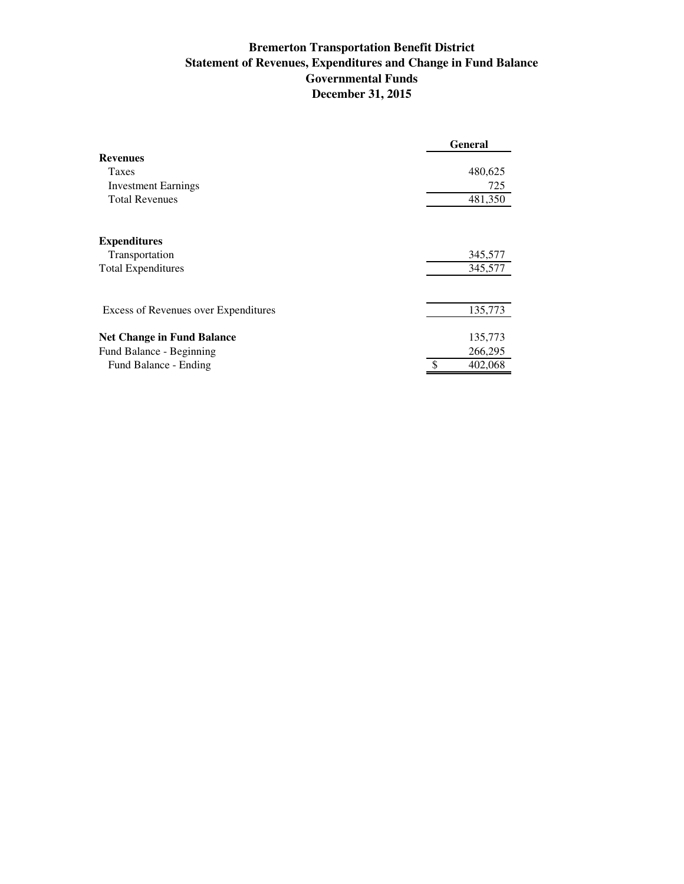# **Bremerton Transportation Benefit District Statement of Revenues, Expenditures and Change in Fund Balance Governmental Funds December 31, 2015**

|                                      | <b>General</b> |
|--------------------------------------|----------------|
| <b>Revenues</b>                      |                |
| <b>Taxes</b>                         | 480,625        |
| <b>Investment Earnings</b>           | 725            |
| <b>Total Revenues</b>                | 481,350        |
|                                      |                |
| <b>Expenditures</b>                  |                |
| Transportation                       | 345,577        |
| <b>Total Expenditures</b>            | 345,577        |
|                                      |                |
| Excess of Revenues over Expenditures | 135,773        |
|                                      |                |
| <b>Net Change in Fund Balance</b>    | 135,773        |
| Fund Balance - Beginning             | 266,295        |
| Fund Balance - Ending                | 402,068        |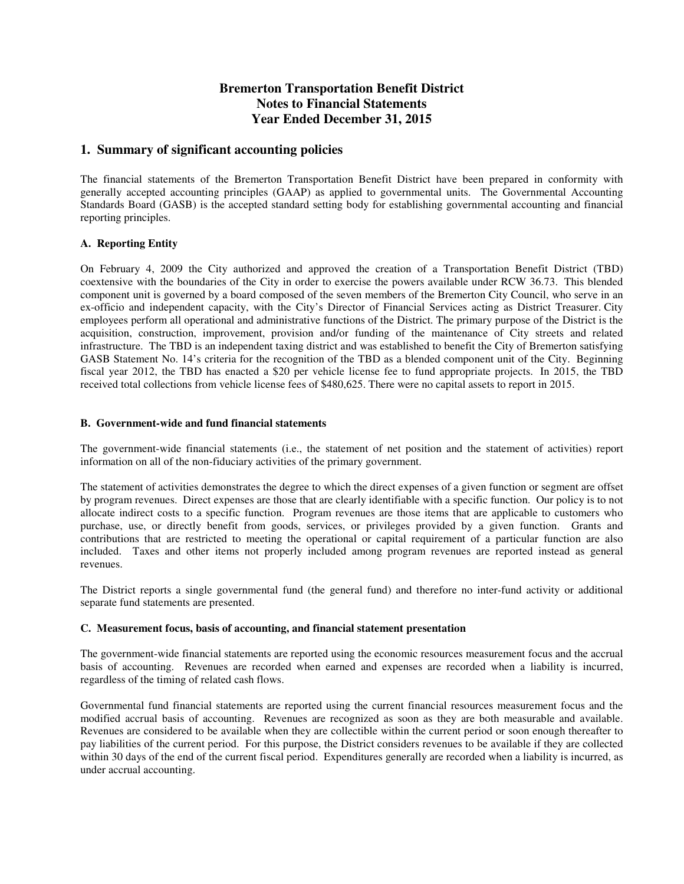# **Bremerton Transportation Benefit District Notes to Financial Statements Year Ended December 31, 2015**

### **1. Summary of significant accounting policies**

The financial statements of the Bremerton Transportation Benefit District have been prepared in conformity with generally accepted accounting principles (GAAP) as applied to governmental units. The Governmental Accounting Standards Board (GASB) is the accepted standard setting body for establishing governmental accounting and financial reporting principles.

#### **A. Reporting Entity**

On February 4, 2009 the City authorized and approved the creation of a Transportation Benefit District (TBD) coextensive with the boundaries of the City in order to exercise the powers available under RCW 36.73. This blended component unit is governed by a board composed of the seven members of the Bremerton City Council, who serve in an ex-officio and independent capacity, with the City's Director of Financial Services acting as District Treasurer. City employees perform all operational and administrative functions of the District. The primary purpose of the District is the acquisition, construction, improvement, provision and/or funding of the maintenance of City streets and related infrastructure. The TBD is an independent taxing district and was established to benefit the City of Bremerton satisfying GASB Statement No. 14's criteria for the recognition of the TBD as a blended component unit of the City. Beginning fiscal year 2012, the TBD has enacted a \$20 per vehicle license fee to fund appropriate projects. In 2015, the TBD received total collections from vehicle license fees of \$480,625. There were no capital assets to report in 2015.

#### **B. Government-wide and fund financial statements**

The government-wide financial statements (i.e., the statement of net position and the statement of activities) report information on all of the non-fiduciary activities of the primary government.

The statement of activities demonstrates the degree to which the direct expenses of a given function or segment are offset by program revenues. Direct expenses are those that are clearly identifiable with a specific function. Our policy is to not allocate indirect costs to a specific function. Program revenues are those items that are applicable to customers who purchase, use, or directly benefit from goods, services, or privileges provided by a given function. Grants and contributions that are restricted to meeting the operational or capital requirement of a particular function are also included. Taxes and other items not properly included among program revenues are reported instead as general revenues.

The District reports a single governmental fund (the general fund) and therefore no inter-fund activity or additional separate fund statements are presented.

#### **C. Measurement focus, basis of accounting, and financial statement presentation**

The government-wide financial statements are reported using the economic resources measurement focus and the accrual basis of accounting. Revenues are recorded when earned and expenses are recorded when a liability is incurred, regardless of the timing of related cash flows.

Governmental fund financial statements are reported using the current financial resources measurement focus and the modified accrual basis of accounting. Revenues are recognized as soon as they are both measurable and available. Revenues are considered to be available when they are collectible within the current period or soon enough thereafter to pay liabilities of the current period. For this purpose, the District considers revenues to be available if they are collected within 30 days of the end of the current fiscal period. Expenditures generally are recorded when a liability is incurred, as under accrual accounting.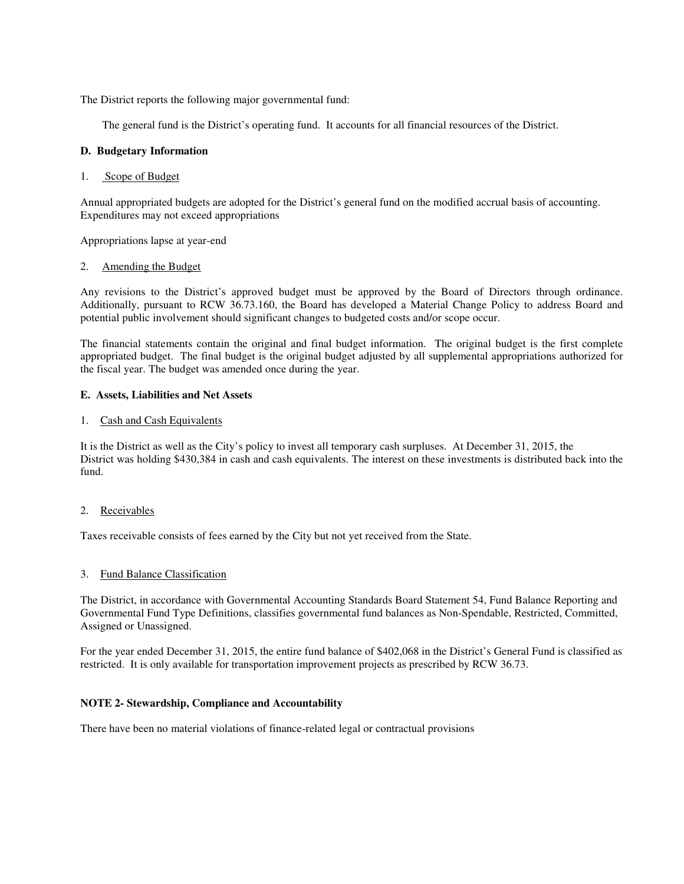The District reports the following major governmental fund:

The general fund is the District's operating fund. It accounts for all financial resources of the District.

#### **D. Budgetary Information**

#### 1. Scope of Budget

Annual appropriated budgets are adopted for the District's general fund on the modified accrual basis of accounting. Expenditures may not exceed appropriations

Appropriations lapse at year-end

#### 2. Amending the Budget

Any revisions to the District's approved budget must be approved by the Board of Directors through ordinance. Additionally, pursuant to RCW 36.73.160, the Board has developed a Material Change Policy to address Board and potential public involvement should significant changes to budgeted costs and/or scope occur.

The financial statements contain the original and final budget information. The original budget is the first complete appropriated budget. The final budget is the original budget adjusted by all supplemental appropriations authorized for the fiscal year. The budget was amended once during the year.

#### **E. Assets, Liabilities and Net Assets**

#### 1. Cash and Cash Equivalents

It is the District as well as the City's policy to invest all temporary cash surpluses. At December 31, 2015, the District was holding \$430,384 in cash and cash equivalents. The interest on these investments is distributed back into the fund.

#### 2. Receivables

Taxes receivable consists of fees earned by the City but not yet received from the State.

#### 3. Fund Balance Classification

The District, in accordance with Governmental Accounting Standards Board Statement 54, Fund Balance Reporting and Governmental Fund Type Definitions, classifies governmental fund balances as Non-Spendable, Restricted, Committed, Assigned or Unassigned.

For the year ended December 31, 2015, the entire fund balance of \$402,068 in the District's General Fund is classified as restricted. It is only available for transportation improvement projects as prescribed by RCW 36.73.

#### **NOTE 2- Stewardship, Compliance and Accountability**

There have been no material violations of finance-related legal or contractual provisions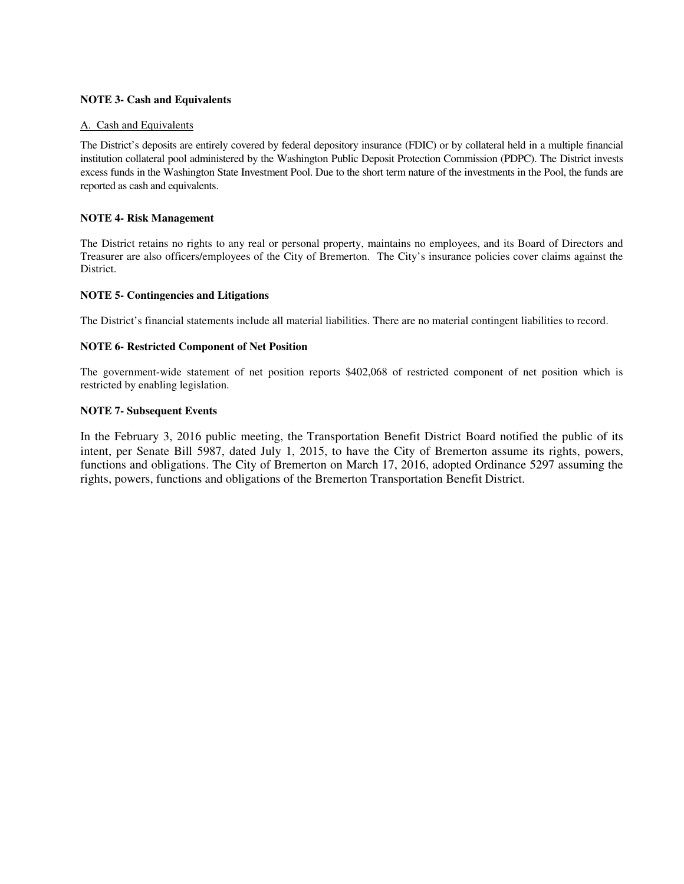#### **NOTE 3- Cash and Equivalents**

#### A. Cash and Equivalents

The District's deposits are entirely covered by federal depository insurance (FDIC) or by collateral held in a multiple financial institution collateral pool administered by the Washington Public Deposit Protection Commission (PDPC). The District invests excess funds in the Washington State Investment Pool. Due to the short term nature of the investments in the Pool, the funds are reported as cash and equivalents.

#### **NOTE 4- Risk Management**

The District retains no rights to any real or personal property, maintains no employees, and its Board of Directors and Treasurer are also officers/employees of the City of Bremerton. The City's insurance policies cover claims against the District.

#### **NOTE 5- Contingencies and Litigations**

The District's financial statements include all material liabilities. There are no material contingent liabilities to record.

#### **NOTE 6- Restricted Component of Net Position**

The government-wide statement of net position reports \$402,068 of restricted component of net position which is restricted by enabling legislation.

#### **NOTE 7- Subsequent Events**

In the February 3, 2016 public meeting, the Transportation Benefit District Board notified the public of its intent, per Senate Bill 5987, dated July 1, 2015, to have the City of Bremerton assume its rights, powers, functions and obligations. The City of Bremerton on March 17, 2016, adopted Ordinance 5297 assuming the rights, powers, functions and obligations of the Bremerton Transportation Benefit District.